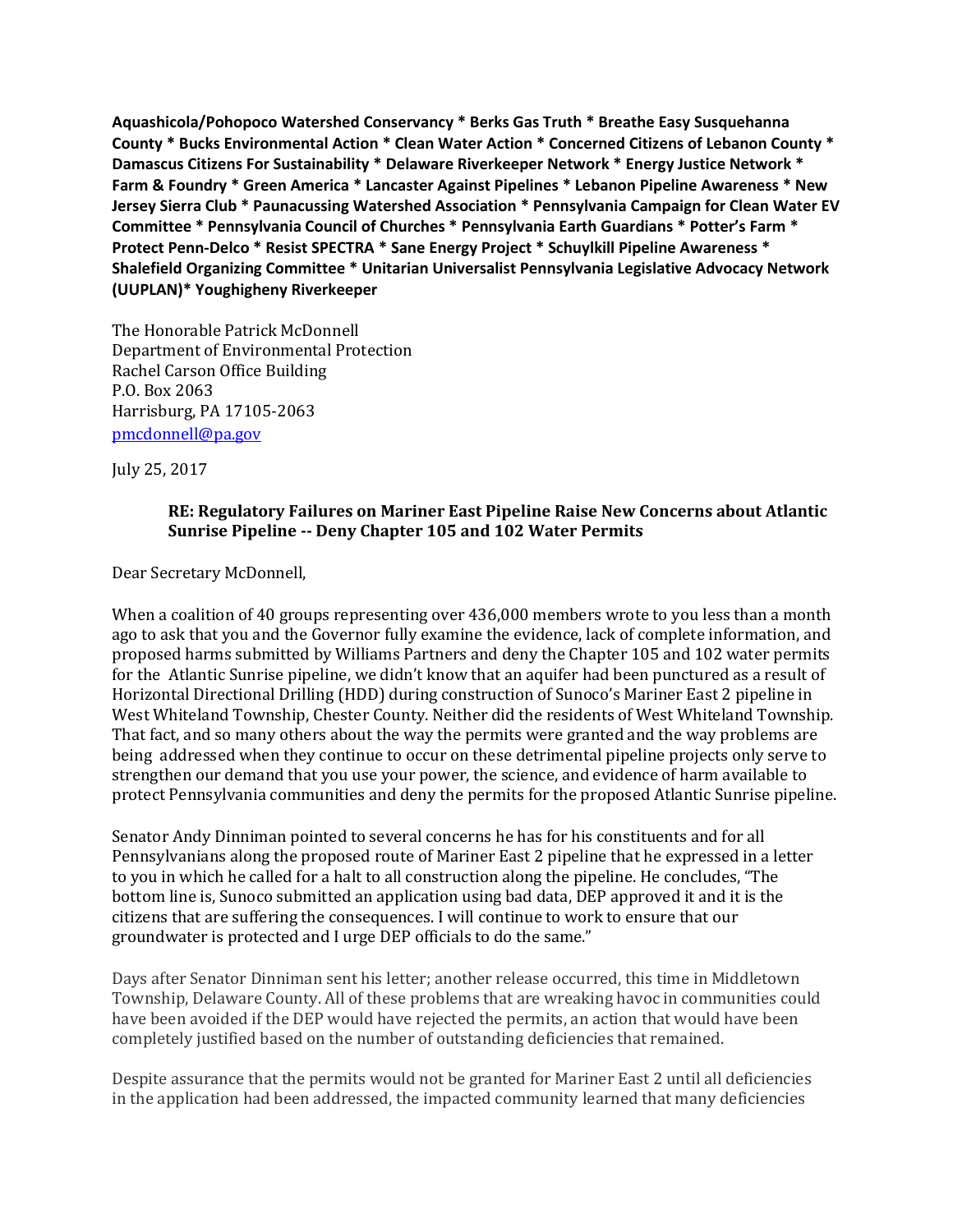**Aquashicola/Pohopoco Watershed Conservancy \* Berks Gas Truth \* Breathe Easy Susquehanna County \* Bucks Environmental Action \* Clean Water Action \* Concerned Citizens of Lebanon County \* Damascus Citizens For Sustainability \* Delaware Riverkeeper Network \* Energy Justice Network \* Farm & Foundry \* Green America \* Lancaster Against Pipelines \* Lebanon Pipeline Awareness \* New Jersey Sierra Club \* Paunacussing Watershed Association \* Pennsylvania Campaign for Clean Water EV Committee \* Pennsylvania Council of Churches \* Pennsylvania Earth Guardians \* Potter's Farm \* Protect Penn-Delco \* Resist SPECTRA \* Sane Energy Project \* Schuylkill Pipeline Awareness \* Shalefield Organizing Committee \* Unitarian Universalist Pennsylvania Legislative Advocacy Network (UUPLAN)\* Youghigheny Riverkeeper** 

The Honorable Patrick McDonnell Department of Environmental Protection Rachel Carson Office Building P.O. Box 2063 Harrisburg, PA 17105-2063 [pmcdonnell@pa.gov](mailto:pmcdonnell@pa.gov)

July 25, 2017

## **RE: Regulatory Failures on Mariner East Pipeline Raise New Concerns about Atlantic Sunrise Pipeline -- Deny Chapter 105 and 102 Water Permits**

Dear Secretary McDonnell,

When a coalition of 40 groups representing over 436,000 members wrote to you less than a month ago to ask that you and the Governor fully examine the evidence, lack of complete information, and proposed harms submitted by Williams Partners and deny the Chapter 105 and 102 water permits for the Atlantic Sunrise pipeline, we didn't know that an aquifer had been punctured as a result of Horizontal Directional Drilling (HDD) during construction of Sunoco's Mariner East 2 pipeline in West Whiteland Township, Chester County. Neither did the residents of West Whiteland Township. That fact, and so many others about the way the permits were granted and the way problems are being addressed when they continue to occur on these detrimental pipeline projects only serve to strengthen our demand that you use your power, the science, and evidence of harm available to protect Pennsylvania communities and deny the permits for the proposed Atlantic Sunrise pipeline.

Senator Andy Dinniman pointed to several concerns he has for his constituents and for all Pennsylvanians along the proposed route of Mariner East 2 pipeline that he expressed in a letter to you in which he called for a halt to all construction along the pipeline. He concludes, "The bottom line is, Sunoco submitted an application using bad data, DEP approved it and it is the citizens that are suffering the consequences. I will continue to work to ensure that our groundwater is protected and I urge DEP officials to do the same."

Days after Senator Dinniman sent his letter; another release occurred, this time in Middletown Township, Delaware County. All of these problems that are wreaking havoc in communities could have been avoided if the DEP would have rejected the permits, an action that would have been completely justified based on the number of outstanding deficiencies that remained.

Despite assurance that the permits would not be granted for Mariner East 2 until all deficiencies in the application had been addressed, the impacted community learned that many deficiencies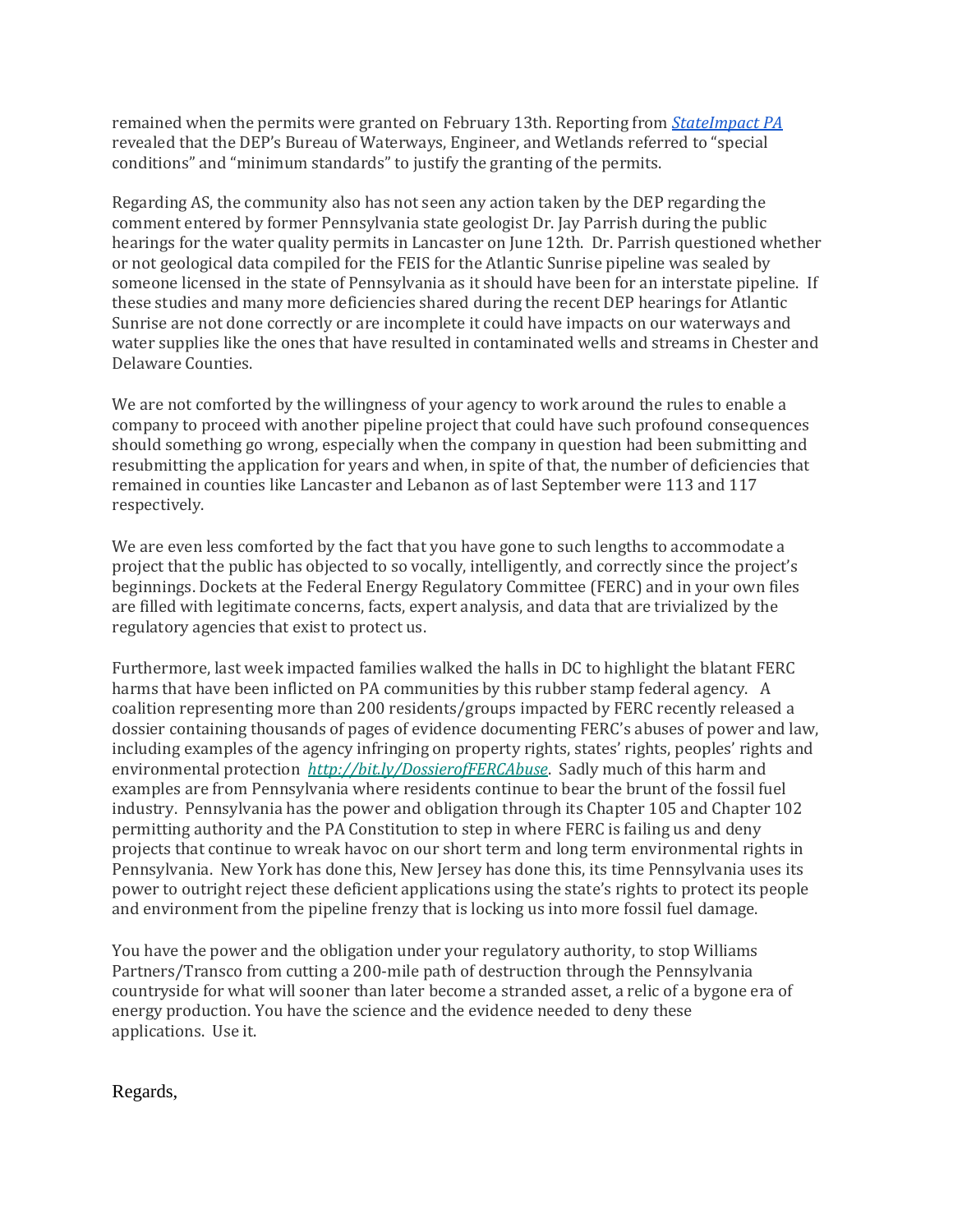remained when the permits were granted on February 13th. Reporting from *[StateImpact PA](https://stateimpact.npr.org/pennsylvania/2017/03/10/dep-approved-mariner-east-2-permits-despite-deficiencies-documents-show/)* revealed that the DEP's Bureau of Waterways, Engineer, and Wetlands referred to "special conditions" and "minimum standards" to justify the granting of the permits.

Regarding AS, the community also has not seen any action taken by the DEP regarding the comment entered by former Pennsylvania state geologist Dr. Jay Parrish during the public hearings for the water quality permits in Lancaster on June 12th. Dr. Parrish questioned whether or not geological data compiled for the FEIS for the Atlantic Sunrise pipeline was sealed by someone licensed in the state of Pennsylvania as it should have been for an interstate pipeline. If these studies and many more deficiencies shared during the recent DEP hearings for Atlantic Sunrise are not done correctly or are incomplete it could have impacts on our waterways and water supplies like the ones that have resulted in contaminated wells and streams in Chester and Delaware Counties.

We are not comforted by the willingness of your agency to work around the rules to enable a company to proceed with another pipeline project that could have such profound consequences should something go wrong, especially when the company in question had been submitting and resubmitting the application for years and when, in spite of that, the number of deficiencies that remained in counties like Lancaster and Lebanon as of last September were 113 and 117 respectively.

We are even less comforted by the fact that you have gone to such lengths to accommodate a project that the public has objected to so vocally, intelligently, and correctly since the project's beginnings. Dockets at the Federal Energy Regulatory Committee (FERC) and in your own files are filled with legitimate concerns, facts, expert analysis, and data that are trivialized by the regulatory agencies that exist to protect us.

Furthermore, last week impacted families walked the halls in DC to highlight the blatant FERC harms that have been inflicted on PA communities by this rubber stamp federal agency. A coalition representing more than 200 residents/groups impacted by FERC recently released a dossier containing thousands of pages of evidence documenting FERC's abuses of power and law, including examples of the agency infringing on property rights, states' rights, peoples' rights and environmental protection *<http://bit.ly/DossierofFERCAbuse>*. Sadly much of this harm and examples are from Pennsylvania where residents continue to bear the brunt of the fossil fuel industry. Pennsylvania has the power and obligation through its Chapter 105 and Chapter 102 permitting authority and the PA Constitution to step in where FERC is failing us and deny projects that continue to wreak havoc on our short term and long term environmental rights in Pennsylvania. New York has done this, New Jersey has done this, its time Pennsylvania uses its power to outright reject these deficient applications using the state's rights to protect its people and environment from the pipeline frenzy that is locking us into more fossil fuel damage.

You have the power and the obligation under your regulatory authority, to stop Williams Partners/Transco from cutting a 200-mile path of destruction through the Pennsylvania countryside for what will sooner than later become a stranded asset, a relic of a bygone era of energy production. You have the science and the evidence needed to deny these applications. Use it.

Regards,